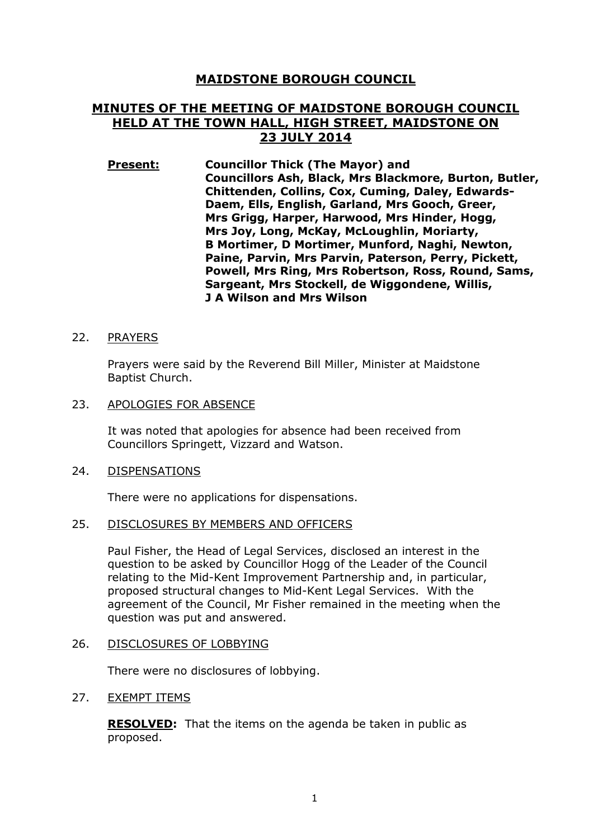# **MAIDSTONE BOROUGH COUNCIL**

# **MINUTES OF THE MEETING OF MAIDSTONE BOROUGH COUNCIL HELD AT THE TOWN HALL, HIGH STREET, MAIDSTONE ON 23 JULY 2014**

**Present: Councillor Thick (The Mayor) and Councillors Ash, Black, Mrs Blackmore, Burton, Butler, Chittenden, Collins, Cox, Cuming, Daley, Edwards-Daem, Ells, English, Garland, Mrs Gooch, Greer, Mrs Grigg, Harper, Harwood, Mrs Hinder, Hogg, Mrs Joy, Long, McKay, McLoughlin, Moriarty, B Mortimer, D Mortimer, Munford, Naghi, Newton, Paine, Parvin, Mrs Parvin, Paterson, Perry, Pickett, Powell, Mrs Ring, Mrs Robertson, Ross, Round, Sams, Sargeant, Mrs Stockell, de Wiggondene, Willis, J A Wilson and Mrs Wilson** 

### 22. PRAYERS

Prayers were said by the Reverend Bill Miller, Minister at Maidstone Baptist Church.

23. APOLOGIES FOR ABSENCE

It was noted that apologies for absence had been received from Councillors Springett, Vizzard and Watson.

#### 24. DISPENSATIONS

There were no applications for dispensations.

#### 25. DISCLOSURES BY MEMBERS AND OFFICERS

Paul Fisher, the Head of Legal Services, disclosed an interest in the question to be asked by Councillor Hogg of the Leader of the Council relating to the Mid-Kent Improvement Partnership and, in particular, proposed structural changes to Mid-Kent Legal Services. With the agreement of the Council, Mr Fisher remained in the meeting when the question was put and answered.

#### 26. DISCLOSURES OF LOBBYING

There were no disclosures of lobbying.

## 27. EXEMPT ITEMS

**RESOLVED:** That the items on the agenda be taken in public as proposed.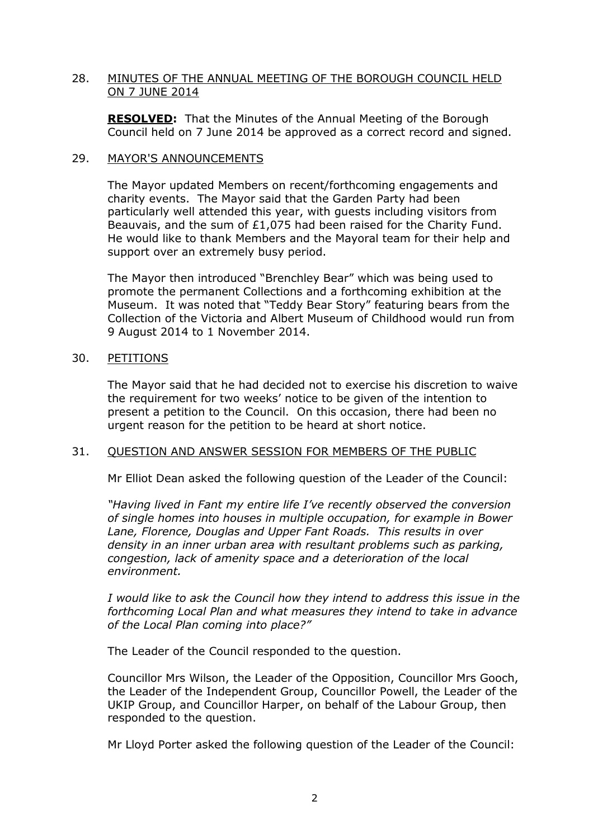# 28. MINUTES OF THE ANNUAL MEETING OF THE BOROUGH COUNCIL HELD ON 7 JUNE 2014

**RESOLVED:** That the Minutes of the Annual Meeting of the Borough Council held on 7 June 2014 be approved as a correct record and signed.

### 29. MAYOR'S ANNOUNCEMENTS

The Mayor updated Members on recent/forthcoming engagements and charity events. The Mayor said that the Garden Party had been particularly well attended this year, with guests including visitors from Beauvais, and the sum of £1,075 had been raised for the Charity Fund. He would like to thank Members and the Mayoral team for their help and support over an extremely busy period.

The Mayor then introduced "Brenchley Bear" which was being used to promote the permanent Collections and a forthcoming exhibition at the Museum. It was noted that "Teddy Bear Story" featuring bears from the Collection of the Victoria and Albert Museum of Childhood would run from 9 August 2014 to 1 November 2014.

## 30. PETITIONS

The Mayor said that he had decided not to exercise his discretion to waive the requirement for two weeks' notice to be given of the intention to present a petition to the Council. On this occasion, there had been no urgent reason for the petition to be heard at short notice.

## 31. QUESTION AND ANSWER SESSION FOR MEMBERS OF THE PUBLIC

Mr Elliot Dean asked the following question of the Leader of the Council:

*"Having lived in Fant my entire life I've recently observed the conversion of single homes into houses in multiple occupation, for example in Bower Lane, Florence, Douglas and Upper Fant Roads. This results in over density in an inner urban area with resultant problems such as parking, congestion, lack of amenity space and a deterioration of the local environment.* 

*I would like to ask the Council how they intend to address this issue in the forthcoming Local Plan and what measures they intend to take in advance of the Local Plan coming into place?"*

The Leader of the Council responded to the question.

Councillor Mrs Wilson, the Leader of the Opposition, Councillor Mrs Gooch, the Leader of the Independent Group, Councillor Powell, the Leader of the UKIP Group, and Councillor Harper, on behalf of the Labour Group, then responded to the question.

Mr Lloyd Porter asked the following question of the Leader of the Council: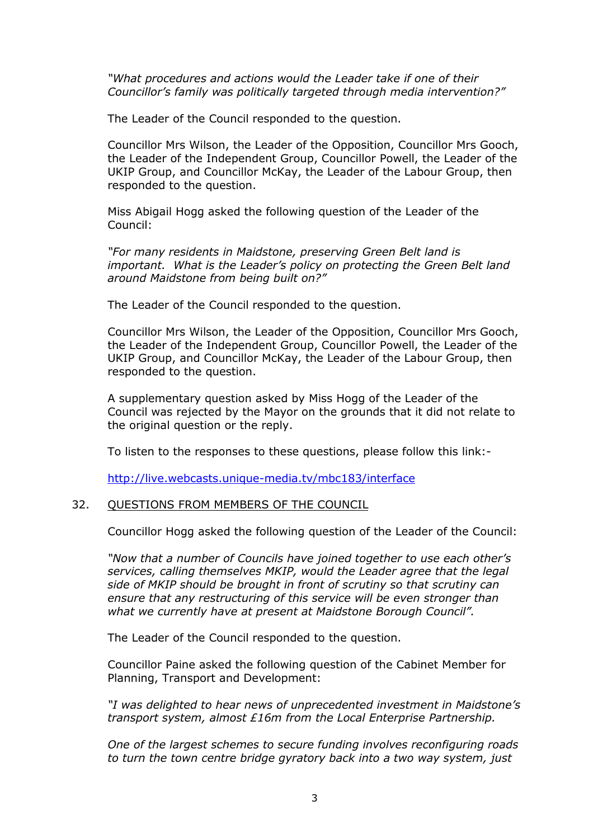*"What procedures and actions would the Leader take if one of their Councillor's family was politically targeted through media intervention?"* 

The Leader of the Council responded to the question.

Councillor Mrs Wilson, the Leader of the Opposition, Councillor Mrs Gooch, the Leader of the Independent Group, Councillor Powell, the Leader of the UKIP Group, and Councillor McKay, the Leader of the Labour Group, then responded to the question.

Miss Abigail Hogg asked the following question of the Leader of the Council:

*"For many residents in Maidstone, preserving Green Belt land is important. What is the Leader's policy on protecting the Green Belt land around Maidstone from being built on?"* 

The Leader of the Council responded to the question.

Councillor Mrs Wilson, the Leader of the Opposition, Councillor Mrs Gooch, the Leader of the Independent Group, Councillor Powell, the Leader of the UKIP Group, and Councillor McKay, the Leader of the Labour Group, then responded to the question.

A supplementary question asked by Miss Hogg of the Leader of the Council was rejected by the Mayor on the grounds that it did not relate to the original question or the reply.

To listen to the responses to these questions, please follow this link:-

http://live.webcasts.unique-media.tv/mbc183/interface

#### 32. QUESTIONS FROM MEMBERS OF THE COUNCIL

Councillor Hogg asked the following question of the Leader of the Council:

*"Now that a number of Councils have joined together to use each other's services, calling themselves MKIP, would the Leader agree that the legal side of MKIP should be brought in front of scrutiny so that scrutiny can ensure that any restructuring of this service will be even stronger than what we currently have at present at Maidstone Borough Council".*

The Leader of the Council responded to the question.

Councillor Paine asked the following question of the Cabinet Member for Planning, Transport and Development:

*"I was delighted to hear news of unprecedented investment in Maidstone's transport system, almost £16m from the Local Enterprise Partnership.* 

*One of the largest schemes to secure funding involves reconfiguring roads to turn the town centre bridge gyratory back into a two way system, just*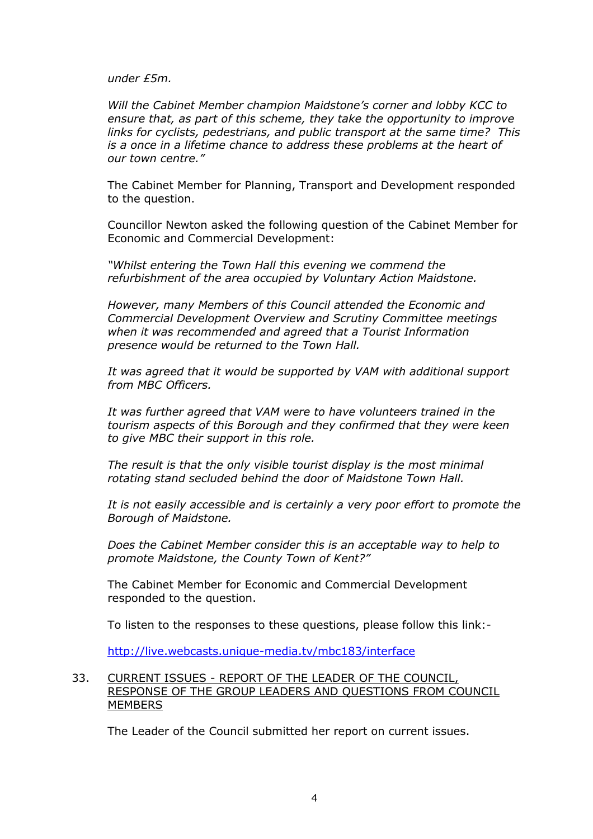*under £5m.* 

*Will the Cabinet Member champion Maidstone's corner and lobby KCC to ensure that, as part of this scheme, they take the opportunity to improve links for cyclists, pedestrians, and public transport at the same time? This is a once in a lifetime chance to address these problems at the heart of our town centre."* 

The Cabinet Member for Planning, Transport and Development responded to the question.

Councillor Newton asked the following question of the Cabinet Member for Economic and Commercial Development:

*"Whilst entering the Town Hall this evening we commend the refurbishment of the area occupied by Voluntary Action Maidstone.* 

*However, many Members of this Council attended the Economic and Commercial Development Overview and Scrutiny Committee meetings when it was recommended and agreed that a Tourist Information presence would be returned to the Town Hall.* 

*It was agreed that it would be supported by VAM with additional support from MBC Officers.* 

*It was further agreed that VAM were to have volunteers trained in the tourism aspects of this Borough and they confirmed that they were keen to give MBC their support in this role.* 

*The result is that the only visible tourist display is the most minimal rotating stand secluded behind the door of Maidstone Town Hall.* 

*It is not easily accessible and is certainly a very poor effort to promote the Borough of Maidstone.* 

*Does the Cabinet Member consider this is an acceptable way to help to promote Maidstone, the County Town of Kent?"* 

The Cabinet Member for Economic and Commercial Development responded to the question.

To listen to the responses to these questions, please follow this link:-

http://live.webcasts.unique-media.tv/mbc183/interface

# 33. CURRENT ISSUES - REPORT OF THE LEADER OF THE COUNCIL, RESPONSE OF THE GROUP LEADERS AND QUESTIONS FROM COUNCIL **MEMBERS**

The Leader of the Council submitted her report on current issues.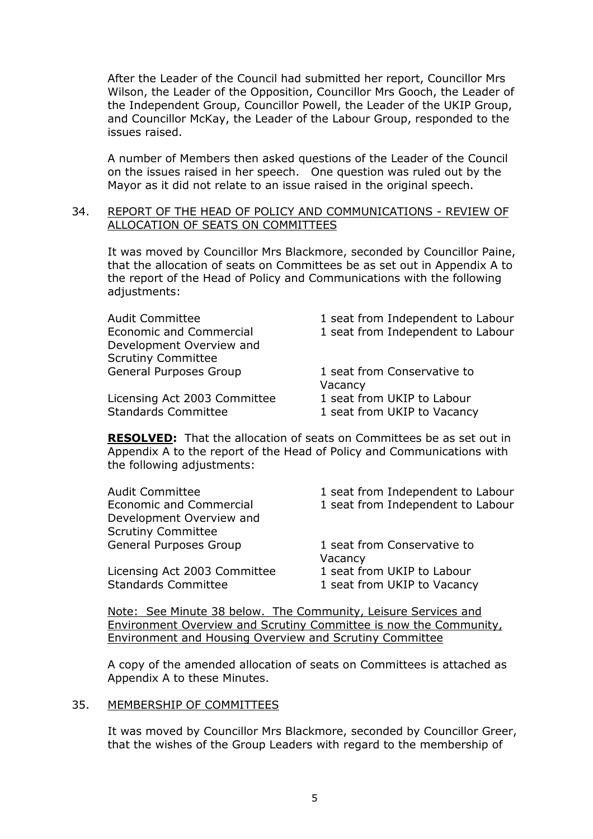After the Leader of the Council had submitted her report, Councillor Mrs Wilson, the Leader of the Opposition, Councillor Mrs Gooch, the Leader of the Independent Group, Councillor Powell, the Leader of the UKIP Group, and Councillor McKay, the Leader of the Labour Group, responded to the issues raised.

A number of Members then asked questions of the Leader of the Council on the issues raised in her speech. One question was ruled out by the Mayor as it did not relate to an issue raised in the original speech.

## 34. REPORT OF THE HEAD OF POLICY AND COMMUNICATIONS - REVIEW OF ALLOCATION OF SEATS ON COMMITTEES

It was moved by Councillor Mrs Blackmore, seconded by Councillor Paine, that the allocation of seats on Committees be as set out in Appendix A to the report of the Head of Policy and Communications with the following adjustments:

| <b>Audit Committee</b>         | 1 seat from Independent to Labour |
|--------------------------------|-----------------------------------|
| <b>Economic and Commercial</b> | 1 seat from Independent to Labour |
| Development Overview and       |                                   |
| <b>Scrutiny Committee</b>      |                                   |
| <b>General Purposes Group</b>  | 1 seat from Conservative to       |
|                                | Vacancy                           |
| Licensing Act 2003 Committee   | 1 seat from UKIP to Labour        |
| <b>Standards Committee</b>     | 1 seat from UKIP to Vacancy       |
|                                |                                   |

**RESOLVED:** That the allocation of seats on Committees be as set out in Appendix A to the report of the Head of Policy and Communications with the following adjustments:

| 1 seat from Independent to Labour                         |
|-----------------------------------------------------------|
| 1 seat from Independent to Labour                         |
|                                                           |
|                                                           |
| 1 seat from Conservative to<br>Vacancy                    |
| 1 seat from UKIP to Labour<br>1 seat from UKIP to Vacancy |
|                                                           |

Note: See Minute 38 below. The Community, Leisure Services and Environment Overview and Scrutiny Committee is now the Community, Environment and Housing Overview and Scrutiny Committee

A copy of the amended allocation of seats on Committees is attached as Appendix A to these Minutes.

## 35. MEMBERSHIP OF COMMITTEES

It was moved by Councillor Mrs Blackmore, seconded by Councillor Greer, that the wishes of the Group Leaders with regard to the membership of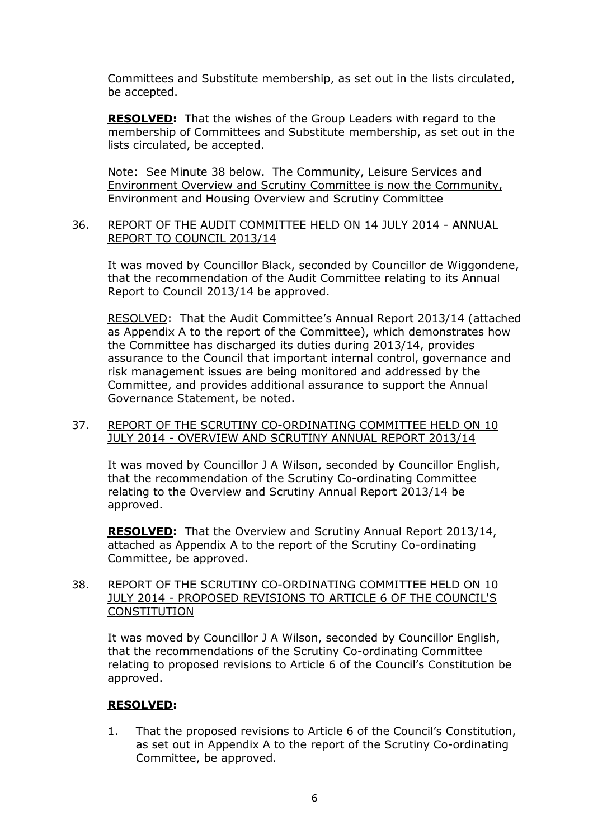Committees and Substitute membership, as set out in the lists circulated, be accepted.

**RESOLVED:** That the wishes of the Group Leaders with regard to the membership of Committees and Substitute membership, as set out in the lists circulated, be accepted.

Note: See Minute 38 below. The Community, Leisure Services and Environment Overview and Scrutiny Committee is now the Community, Environment and Housing Overview and Scrutiny Committee

# 36. REPORT OF THE AUDIT COMMITTEE HELD ON 14 JULY 2014 - ANNUAL REPORT TO COUNCIL 2013/14

It was moved by Councillor Black, seconded by Councillor de Wiggondene, that the recommendation of the Audit Committee relating to its Annual Report to Council 2013/14 be approved.

RESOLVED: That the Audit Committee's Annual Report 2013/14 (attached as Appendix A to the report of the Committee), which demonstrates how the Committee has discharged its duties during 2013/14, provides assurance to the Council that important internal control, governance and risk management issues are being monitored and addressed by the Committee, and provides additional assurance to support the Annual Governance Statement, be noted.

## 37. REPORT OF THE SCRUTINY CO-ORDINATING COMMITTEE HELD ON 10 JULY 2014 - OVERVIEW AND SCRUTINY ANNUAL REPORT 2013/14

It was moved by Councillor J A Wilson, seconded by Councillor English, that the recommendation of the Scrutiny Co-ordinating Committee relating to the Overview and Scrutiny Annual Report 2013/14 be approved.

**RESOLVED:** That the Overview and Scrutiny Annual Report 2013/14, attached as Appendix A to the report of the Scrutiny Co-ordinating Committee, be approved.

# 38. REPORT OF THE SCRUTINY CO-ORDINATING COMMITTEE HELD ON 10 JULY 2014 - PROPOSED REVISIONS TO ARTICLE 6 OF THE COUNCIL'S **CONSTITUTION**

It was moved by Councillor J A Wilson, seconded by Councillor English, that the recommendations of the Scrutiny Co-ordinating Committee relating to proposed revisions to Article 6 of the Council's Constitution be approved.

# **RESOLVED:**

1. That the proposed revisions to Article 6 of the Council's Constitution, as set out in Appendix A to the report of the Scrutiny Co-ordinating Committee, be approved.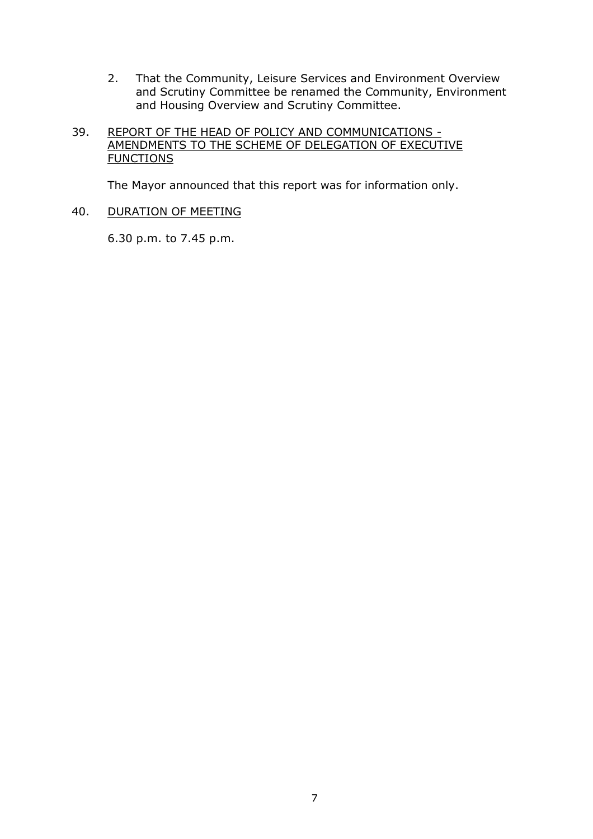2. That the Community, Leisure Services and Environment Overview and Scrutiny Committee be renamed the Community, Environment and Housing Overview and Scrutiny Committee.

# 39. REPORT OF THE HEAD OF POLICY AND COMMUNICATIONS - AMENDMENTS TO THE SCHEME OF DELEGATION OF EXECUTIVE **FUNCTIONS**

The Mayor announced that this report was for information only.

## 40. DURATION OF MEETING

6.30 p.m. to 7.45 p.m.